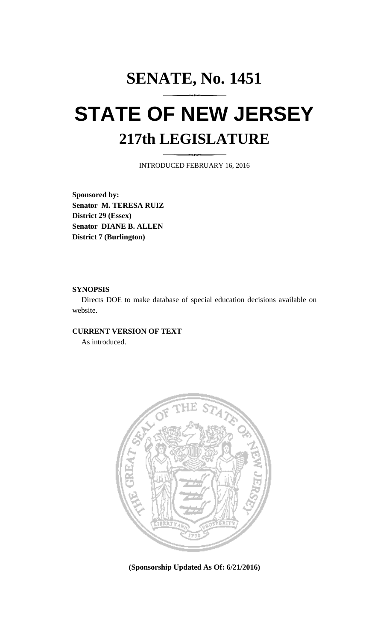## **SENATE, No. 1451 STATE OF NEW JERSEY 217th LEGISLATURE**

INTRODUCED FEBRUARY 16, 2016

**Sponsored by: Senator M. TERESA RUIZ District 29 (Essex) Senator DIANE B. ALLEN District 7 (Burlington)**

## **SYNOPSIS**

Directs DOE to make database of special education decisions available on website.

## **CURRENT VERSION OF TEXT**

As introduced.



**(Sponsorship Updated As Of: 6/21/2016)**